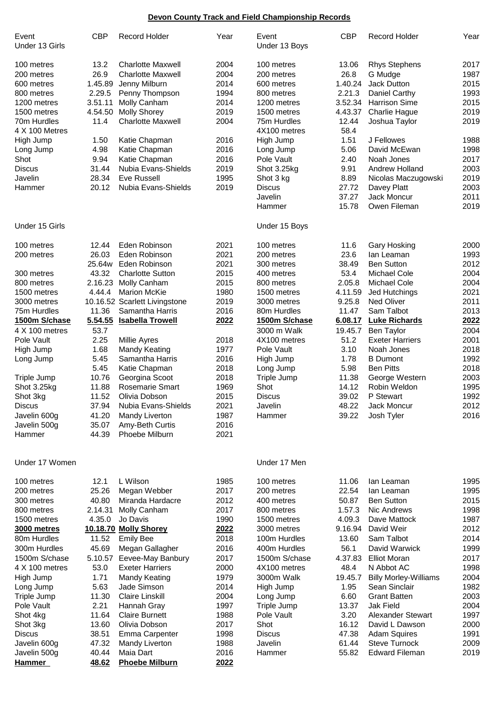## **Devon County Track and Field Championship Records**

| Event<br>Under 13 Girls | <b>CBP</b> | <b>Record Holder</b>          | Year | Event<br>Under 13 Boys | <b>CBP</b> | <b>Record Holder</b>         | Year |
|-------------------------|------------|-------------------------------|------|------------------------|------------|------------------------------|------|
| 100 metres              | 13.2       | <b>Charlotte Maxwell</b>      | 2004 | 100 metres             | 13.06      | <b>Rhys Stephens</b>         | 2017 |
| 200 metres              | 26.9       | <b>Charlotte Maxwell</b>      | 2004 | 200 metres             | 26.8       | G Mudge                      | 1987 |
| 600 metres              | 1.45.89    | Jenny Milburn                 | 2014 | 600 metres             | 1.40.24    | Jack Dutton                  | 2015 |
| 800 metres              | 2.29.5     | Penny Thompson                | 1994 | 800 metres             | 2.21.3     | Daniel Carthy                | 1993 |
| 1200 metres             | 3.51.11    | Molly Canham                  | 2014 | 1200 metres            | 3.52.34    | <b>Harrison Sime</b>         | 2015 |
| 1500 metres             | 4.54.50    | <b>Molly Shorey</b>           | 2019 | 1500 metres            | 4.43.37    | Charlie Hague                | 2019 |
| 70m Hurdles             | 11.4       | <b>Charlotte Maxwell</b>      | 2004 | 75m Hurdles            | 12.44      | Joshua Taylor                | 2019 |
| 4 X 100 Metres          |            |                               |      | 4X100 metres           | 58.4       |                              |      |
| High Jump               | 1.50       | Katie Chapman                 | 2016 | High Jump              | 1.51       | J Fellowes                   | 1988 |
| Long Jump               | 4.98       | Katie Chapman                 | 2016 | Long Jump              | 5.06       | David McEwan                 | 1998 |
| Shot                    | 9.94       | Katie Chapman                 | 2016 | Pole Vault             | 2.40       | Noah Jones                   | 2017 |
| <b>Discus</b>           | 31.44      | Nubia Evans-Shields           | 2019 | Shot 3.25kg            | 9.91       | <b>Andrew Holland</b>        | 2003 |
| Javelin                 | 28.34      | Eve Russell                   | 1995 | Shot 3 kg              | 8.89       | Nicolas Maczugowski          | 2019 |
| Hammer                  | 20.12      | Nubia Evans-Shields           | 2019 | <b>Discus</b>          | 27.72      | Davey Platt                  | 2003 |
|                         |            |                               |      | Javelin                | 37.27      | Jack Moncur                  | 2011 |
|                         |            |                               |      | Hammer                 | 15.78      | Owen Fileman                 | 2019 |
| Under 15 Girls          |            |                               |      | Under 15 Boys          |            |                              |      |
| 100 metres              | 12.44      | Eden Robinson                 | 2021 | 100 metres             | 11.6       | <b>Gary Hosking</b>          | 2000 |
| 200 metres              | 26.03      | Eden Robinson                 | 2021 | 200 metres             | 23.6       | lan Leaman                   | 1993 |
|                         | 25.64w     | Eden Robinson                 | 2021 | 300 metres             | 38.49      | <b>Ben Sutton</b>            | 2012 |
| 300 metres              | 43.32      | <b>Charlotte Sutton</b>       | 2015 | 400 metres             | 53.4       | <b>Michael Cole</b>          | 2004 |
| 800 metres              | 2.16.23    | Molly Canham                  | 2015 | 800 metres             | 2.05.8     | <b>Michael Cole</b>          | 2004 |
| 1500 metres             | 4.44.4     | <b>Marion McKie</b>           | 1980 | 1500 metres            | 4.11.59    | Jed Hutchings                | 2021 |
| 3000 metres             |            | 10.16.52 Scarlett Livingstone | 2019 | 3000 metres            | 9.25.8     | <b>Ned Oliver</b>            | 2011 |
| 75m Hurdles             | 11.36      | Samantha Harris               | 2016 | 80m Hurdles            | 11.47      | Sam Talbot                   | 2013 |
| 1500m S/chase           | 5.54.55    | <b>Isabella Trowell</b>       | 2022 | 1500m S/chase          | 6.08.17    | <b>Luke Richards</b>         | 2022 |
| 4 X 100 metres          | 53.7       |                               |      | 3000 m Walk            | 19.45.7    | <b>Ben Taylor</b>            | 2004 |
| Pole Vault              | 2.25       | <b>Millie Ayres</b>           | 2018 | 4X100 metres           | 51.2       | <b>Exeter Harriers</b>       | 2001 |
| High Jump               | 1.68       | <b>Mandy Keating</b>          | 1977 | Pole Vault             | 3.10       | Noah Jones                   | 2018 |
| Long Jump               | 5.45       | Samantha Harris               | 2016 | High Jump              | 1.78       | <b>B</b> Dumont              | 1992 |
|                         | 5.45       | Katie Chapman                 | 2018 | Long Jump              | 5.98       | <b>Ben Pitts</b>             | 2018 |
| Triple Jump             | 10.76      | Georgina Scoot                | 2018 | Triple Jump            | 11.38      | George Western               | 2003 |
| Shot 3.25kg             | 11.88      | <b>Rosemarie Smart</b>        | 1969 | Shot                   | 14.12      | Robin Weldon                 | 1995 |
| Shot 3kg                | 11.52      | Olivia Dobson                 | 2015 | <b>Discus</b>          | 39.02      | P Stewart                    | 1992 |
| <b>Discus</b>           | 37.94      | Nubia Evans-Shields           | 2021 | Javelin                | 48.22      | Jack Moncur                  | 2012 |
| Javelin 600g            | 41.20      | <b>Mandy Liverton</b>         | 1987 | Hammer                 | 39.22      | Josh Tyler                   | 2016 |
| Javelin 500g            | 35.07      | Amy-Beth Curtis               | 2016 |                        |            |                              |      |
| Hammer                  | 44.39      | Phoebe Milburn                | 2021 |                        |            |                              |      |
| Under 17 Women          |            |                               |      | Under 17 Men           |            |                              |      |
| 100 metres              | 12.1       | L Wilson                      | 1985 | 100 metres             | 11.06      | lan Leaman                   | 1995 |
| 200 metres              | 25.26      | Megan Webber                  | 2017 | 200 metres             | 22.54      | lan Leaman                   | 1995 |
| 300 metres              | 40.80      | Miranda Hardacre              | 2012 | 400 metres             | 50.87      | <b>Ben Sutton</b>            | 2015 |
| 800 metres              | 2.14.31    | Molly Canham                  | 2017 | 800 metres             | 1.57.3     | Nic Andrews                  | 1998 |
| 1500 metres             | 4.35.0     | Jo Davis                      | 1990 | 1500 metres            | 4.09.3     | Dave Mattock                 | 1987 |
| 3000 metres             |            | 10.18.70 Molly Shorey         | 2022 | 3000 metres            | 9.16.94    | David Weir                   | 2012 |
| 80m Hurdles             | 11.52      | <b>Emily Bee</b>              | 2018 | 100m Hurdles           | 13.60      | Sam Talbot                   | 2014 |
| 300m Hurdles            | 45.69      | Megan Gallagher               | 2016 | 400m Hurdles           | 56.1       | David Warwick                | 1999 |
| 1500m S/chase           | 5.10.57    | Eevee-May Banbury             | 2017 | 1500m S/chase          | 4.37.83    | <b>Elliot Moran</b>          | 2017 |
| 4 X 100 metres          | 53.0       | <b>Exeter Harriers</b>        | 2000 | 4X100 metres           | 48.4       | N Abbot AC                   | 1998 |
| High Jump               | 1.71       | <b>Mandy Keating</b>          | 1979 | 3000m Walk             | 19.45.7    | <b>Billy Morley-Williams</b> | 2004 |
| Long Jump               | 5.63       | Jade Simson                   | 2014 | High Jump              | 1.95       | Sean Sinclair                | 1982 |
| Triple Jump             | 11.30      | <b>Claire Linskill</b>        | 2004 | Long Jump              | 6.60       | <b>Grant Batten</b>          | 2003 |
| Pole Vault              | 2.21       | Hannah Gray                   | 1997 | Triple Jump            | 13.37      | Jak Field                    | 2004 |
| Shot 4kg                | 11.64      | <b>Claire Burnett</b>         | 1988 | Pole Vault             | 3.20       | <b>Alexander Stewart</b>     | 1997 |
| Shot 3kg                | 13.60      | Olivia Dobson                 | 2017 | Shot                   | 16.12      | David L Dawson               | 2000 |
| <b>Discus</b>           | 38.51      | <b>Emma Carpenter</b>         | 1998 | <b>Discus</b>          | 47.38      | <b>Adam Squires</b>          | 1991 |
| Javelin 600g            | 47.32      | <b>Mandy Liverton</b>         | 1988 | Javelin                | 61.44      | <b>Steve Turnock</b>         | 2009 |
| Javelin 500g            | 40.44      | Maia Dart                     | 2016 | Hammer                 | 55.82      | <b>Edward Fileman</b>        | 2019 |
| <b>Hammer</b>           | 48.62      | <b>Phoebe Milburn</b>         | 2022 |                        |            |                              |      |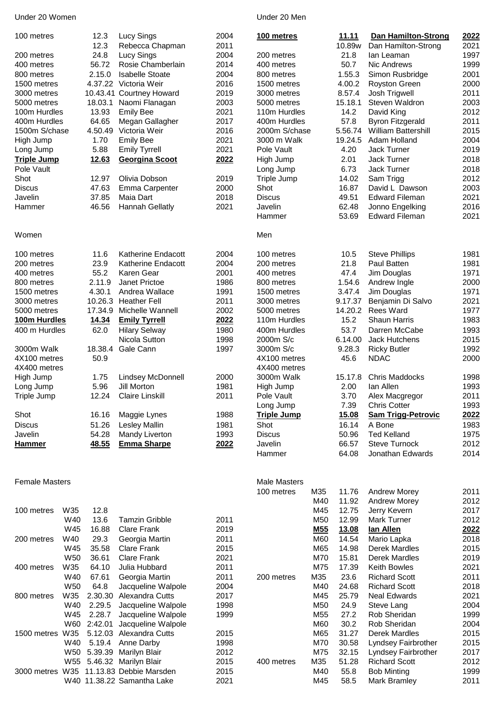## Under 20 Women **Under 20 Men**

| 100 metres            |                 | 12.3        | Lucy Sings                              | 2004 | 100 metres          |     | 11.11        | <b>Dan Hamilton-Strong</b>                  | 2022 |
|-----------------------|-----------------|-------------|-----------------------------------------|------|---------------------|-----|--------------|---------------------------------------------|------|
|                       |                 | 12.3        | Rebecca Chapman                         | 2011 |                     |     | 10.89w       | Dan Hamilton-Strong                         | 2021 |
| 200 metres            |                 | 24.8        | Lucy Sings                              | 2004 | 200 metres          |     | 21.8         | lan Leaman                                  | 1997 |
| 400 metres            |                 | 56.72       | Rosie Chamberlain                       | 2014 | 400 metres          |     | 50.7         | Nic Andrews                                 | 1999 |
| 800 metres            |                 | 2.15.0      | <b>Isabelle Stoate</b>                  | 2004 | 800 metres          |     | 1.55.3       | Simon Rusbridge                             | 2001 |
| 1500 metres           |                 |             | 4.37.22 Victoria Weir                   | 2016 | 1500 metres         |     | 4.00.2       | Royston Green                               | 2000 |
| 3000 metres           |                 |             | 10.43.41 Courtney Howard                | 2019 | 3000 metres         |     | 8.57.4       | Josh Trigwell                               | 2011 |
| 5000 metres           |                 | 18.03.1     | Naomi Flanagan                          | 2003 | 5000 metres         |     | 15.18.1      | Steven Waldron                              | 2003 |
| 100m Hurdles          |                 | 13.93       | <b>Emily Bee</b>                        | 2021 | 110m Hurdles        |     | 14.2         | David King                                  | 2012 |
| 400m Hurdles          |                 | 64.65       | Megan Gallagher                         | 2017 | 400m Hurdles        |     | 57.8         | <b>Byron Fitzgerald</b>                     | 2011 |
| 1500m S/chase         |                 | 4.50.49     | Victoria Weir                           | 2016 | 2000m S/chase       |     | 5.56.74      | <b>William Battershill</b>                  | 2015 |
| High Jump             |                 | 1.70        | <b>Emily Bee</b>                        | 2021 | 3000 m Walk         |     | 19.24.5      | Adam Holland                                | 2004 |
| Long Jump             |                 | 5.88        | <b>Emily Tyrrell</b>                    | 2021 | Pole Vault          |     | 4.20         | Jack Turner                                 | 2019 |
| <b>Triple Jump</b>    |                 | 12.63       | Georgina Scoot                          | 2022 | High Jump           |     | 2.01         | Jack Turner                                 | 2018 |
| Pole Vault            |                 |             |                                         |      |                     |     |              |                                             |      |
|                       |                 |             |                                         |      | Long Jump           |     | 6.73         | Jack Turner                                 | 2018 |
| Shot                  |                 | 12.97       | Olivia Dobson                           | 2019 | Triple Jump         |     | 14.02        | Sam Trigg                                   | 2012 |
| <b>Discus</b>         |                 | 47.63       | <b>Emma Carpenter</b>                   | 2000 | Shot                |     | 16.87        | David L Dawson                              | 2003 |
| Javelin               |                 | 37.85       | Maia Dart                               | 2018 | <b>Discus</b>       |     | 49.51        | <b>Edward Fileman</b>                       | 2021 |
| Hammer                |                 | 46.56       | <b>Hannah Gellatly</b>                  | 2021 | Javelin             |     | 62.48        | Jonno Engelking                             | 2016 |
|                       |                 |             |                                         |      | Hammer              |     | 53.69        | <b>Edward Fileman</b>                       | 2021 |
| Women                 |                 |             |                                         |      | Men                 |     |              |                                             |      |
| 100 metres            |                 | 11.6        | <b>Katherine Endacott</b>               | 2004 | 100 metres          |     | 10.5         | <b>Steve Phillips</b>                       | 1981 |
| 200 metres            |                 | 23.9        | <b>Katherine Endacott</b>               | 2004 | 200 metres          |     | 21.8         | Paul Batten                                 | 1981 |
| 400 metres            |                 | 55.2        | Karen Gear                              | 2001 | 400 metres          |     | 47.4         | Jim Douglas                                 | 1971 |
| 800 metres            |                 | 2.11.9      | Janet Prictoe                           | 1986 | 800 metres          |     | 1.54.6       | Andrew Ingle                                | 2000 |
| 1500 metres           |                 | 4.30.1      | Andrea Wallace                          | 1991 | 1500 metres         |     | 3.47.4       | Jim Douglas                                 | 1971 |
| 3000 metres           |                 | 10.26.3     | <b>Heather Fell</b>                     | 2011 | 3000 metres         |     | 9.17.37      | Benjamin Di Salvo                           | 2021 |
| 5000 metres           |                 | 17.34.9     | Michelle Wannell                        | 2002 | 5000 metres         |     | 14.20.2      | <b>Rees Ward</b>                            | 1977 |
| 100m Hurdles          |                 | 14.34       | <b>Emily Tyrrell</b>                    | 2022 | 110m Hurdles        |     | 15.2         | <b>Shaun Harris</b>                         | 1983 |
| 400 m Hurdles         |                 | 62.0        | <b>Hilary Selway</b>                    | 1980 | 400m Hurdles        |     | 53.7         | Darren McCabe                               | 1993 |
|                       |                 |             | Nicola Sutton                           | 1998 | 2000m S/c           |     | 6.14.00      | Jack Hutchens                               | 2015 |
|                       |                 |             |                                         |      |                     |     |              |                                             | 1992 |
| 3000m Walk            |                 | 18.38.4     | Gale Cann                               | 1997 | 3000m S/c           |     | 9.28.3       | <b>Ricky Butler</b>                         |      |
| 4X100 metres          |                 | 50.9        |                                         |      | 4X100 metres        |     | 45.6         | <b>NDAC</b>                                 | 2000 |
| 4X400 metres          |                 |             |                                         |      | 4X400 metres        |     |              |                                             |      |
| High Jump             |                 | 1.75        | <b>Lindsey McDonnell</b>                | 2000 | 3000m Walk          |     | 15.17.8      | <b>Chris Maddocks</b>                       | 1998 |
| Long Jump             |                 | 5.96        | Jill Morton                             | 1981 | High Jump           |     | 2.00         | lan Allen                                   | 1993 |
| Triple Jump           |                 | 12.24       | <b>Claire Linskill</b>                  | 2011 | Pole Vault          |     | 3.70         | Alex Macgregor                              | 2011 |
|                       |                 |             |                                         |      | Long Jump           |     | 7.39         | <b>Chris Cotter</b>                         | 1993 |
| Shot                  |                 | 16.16       | Maggie Lynes                            | 1988 | <b>Triple Jump</b>  |     | <u>15.08</u> | <b>Sam Trigg-Petrovic</b>                   | 2022 |
| <b>Discus</b>         |                 | 51.26       | <b>Lesley Mallin</b>                    | 1981 | Shot                |     | 16.14        | A Bone                                      | 1983 |
| Javelin               |                 | 54.28       | Mandy Liverton                          | 1993 | <b>Discus</b>       |     | 50.96        | <b>Ted Kelland</b>                          | 1975 |
| <b>Hammer</b>         |                 | 48.55       | <b>Emma Sharpe</b>                      | 2022 | Javelin             |     | 66.57        | <b>Steve Turnock</b>                        | 2012 |
|                       |                 |             |                                         |      | Hammer              |     | 64.08        | Jonathan Edwards                            | 2014 |
|                       |                 |             |                                         |      |                     |     |              |                                             |      |
| <b>Female Masters</b> |                 |             |                                         |      | <b>Male Masters</b> |     |              |                                             |      |
|                       |                 |             |                                         |      | 100 metres          | M35 | 11.76        | <b>Andrew Morey</b>                         | 2011 |
|                       |                 |             |                                         |      |                     | M40 | 11.92        | <b>Andrew Morey</b>                         | 2012 |
| 100 metres            | W35             | 12.8        |                                         |      |                     | M45 | 12.75        | Jerry Kevern                                | 2017 |
|                       | W40             | 13.6        | <b>Tamzin Gribble</b>                   | 2011 |                     | M50 | 12.99        | Mark Turner                                 | 2012 |
|                       | W45             | 16.88       | <b>Clare Frank</b>                      | 2019 |                     | M55 | 13.08        | lan Allen                                   | 2022 |
| 200 metres            | W40             | 29.3        | Georgia Martin                          | 2011 |                     | M60 | 14.54        | Mario Lapka                                 | 2018 |
|                       | W45             | 35.58       | <b>Clare Frank</b>                      | 2015 |                     | M65 | 14.98        | <b>Derek Mardles</b>                        | 2015 |
|                       | W <sub>50</sub> | 36.61       | <b>Clare Frank</b>                      | 2021 |                     | M70 | 15.81        | Derek Mardles                               | 2019 |
| 400 metres            | W35             | 64.10       | Julia Hubbard                           | 2011 |                     | M75 | 17.39        | <b>Keith Bowles</b>                         | 2021 |
|                       | W40             | 67.61       | Georgia Martin                          | 2011 | 200 metres          | M35 | 23.6         | <b>Richard Scott</b>                        | 2011 |
|                       | W50             | 64.8        | Jacqueline Walpole                      | 2004 |                     | M40 | 24.68        | <b>Richard Scott</b>                        | 2018 |
| 800 metres            | W35             | 2.30.30     | Alexandra Cutts                         | 2017 |                     | M45 | 25.79        | <b>Neal Edwards</b>                         | 2021 |
|                       | W40             | 2.29.5      | Jacqueline Walpole                      | 1998 |                     | M50 | 24.9         | Steve Lang                                  | 2004 |
|                       | W45             | 2.28.7      | Jacqueline Walpole                      | 1999 |                     | M55 | 27.2         | Rob Sheridan                                | 1999 |
|                       | W60             | 2:42.01     | Jacqueline Walpole                      |      |                     | M60 | 30.2         | Rob Sheridan                                | 2004 |
| 1500 metres W35       |                 |             | 5.12.03 Alexandra Cutts                 | 2015 |                     | M65 | 31.27        | <b>Derek Mardles</b>                        | 2015 |
|                       | W40             | 5.19.4      | Anne Darby                              | 1998 |                     | M70 | 30.58        | Lyndsey Fairbrother                         | 2015 |
|                       |                 | W50 5.39.39 | Marilyn Blair                           | 2012 |                     | M75 | 32.15        |                                             | 2017 |
|                       |                 |             | W55 5.46.32 Marilyn Blair               | 2015 |                     | M35 | 51.28        | Lyndsey Fairbrother<br><b>Richard Scott</b> | 2012 |
|                       |                 |             | 3000 metres W35 11.13.83 Debbie Marsden | 2015 | 400 metres          | M40 | 55.8         |                                             | 1999 |
|                       |                 |             |                                         |      |                     |     |              | <b>Bob Minting</b>                          |      |

W40 11.38.22 Samantha Lake 2021 M45 58.5 Mark Bramley 2011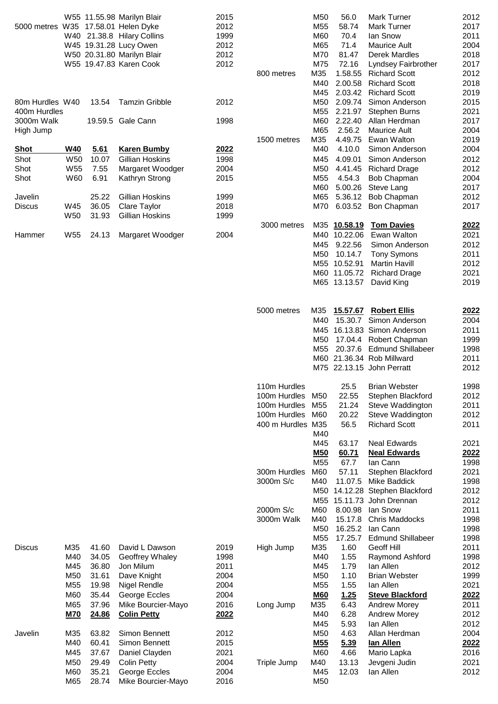|                                     |                 |       | W55 11.55.98 Marilyn Blair | 2015 |                   | M50             | 56.0         | <b>Mark Turner</b>          | 2012         |
|-------------------------------------|-----------------|-------|----------------------------|------|-------------------|-----------------|--------------|-----------------------------|--------------|
| 5000 metres W35 17.58.01 Helen Dyke |                 |       |                            | 2012 |                   | M55             | 58.74        | <b>Mark Turner</b>          | 2017         |
|                                     |                 |       | W40 21.38.8 Hilary Collins | 1999 |                   | M60             | 70.4         | lan Snow                    | 2011         |
|                                     |                 |       | W45 19.31.28 Lucy Owen     | 2012 |                   | M65             | 71.4         | <b>Maurice Ault</b>         | 2004         |
|                                     |                 |       | W50 20.31.80 Marilyn Blair | 2012 |                   | M70             | 81.47        | <b>Derek Mardles</b>        | 2018         |
|                                     |                 |       |                            |      |                   |                 |              |                             |              |
|                                     |                 |       | W55 19.47.83 Karen Cook    | 2012 |                   | M75             | 72.16        | Lyndsey Fairbrother         | 2017         |
|                                     |                 |       |                            |      | 800 metres        | M35             | 1.58.55      | <b>Richard Scott</b>        | 2012         |
|                                     |                 |       |                            |      |                   | M40             | 2.00.58      | <b>Richard Scott</b>        | 2018         |
|                                     |                 |       |                            |      |                   | M45             | 2.03.42      | <b>Richard Scott</b>        | 2019         |
| 80m Hurdles W40                     |                 | 13.54 | <b>Tamzin Gribble</b>      | 2012 |                   | M50             | 2.09.74      | Simon Anderson              | 2015         |
| 400m Hurdles                        |                 |       |                            |      |                   | M55             | 2.21.97      | <b>Stephen Burns</b>        | 2021         |
| 3000m Walk                          |                 |       | 19.59.5 Gale Cann          | 1998 |                   | M60             | 2.22.40      | Allan Herdman               | 2017         |
| High Jump                           |                 |       |                            |      |                   | M65             | 2.56.2       | <b>Maurice Ault</b>         | 2004         |
|                                     |                 |       |                            |      | 1500 metres       | M35             | 4.49.75      | Ewan Walton                 | 2019         |
| <b>Shot</b>                         | <b>W40</b>      | 5.61  | <b>Karen Bumby</b>         | 2022 |                   | M40             | 4.10.0       | Simon Anderson              | 2004         |
|                                     |                 |       |                            |      |                   | M45             |              |                             |              |
| Shot                                | W <sub>50</sub> | 10.07 | Gillian Hoskins            | 1998 |                   |                 | 4.09.01      | Simon Anderson              | 2012         |
| Shot                                | W55             | 7.55  | Margaret Woodger           | 2004 |                   | M50             | 4.41.45      | <b>Richard Drage</b>        | 2012         |
| Shot                                | W60             | 6.91  | Kathryn Strong             | 2015 |                   | M55             | 4.54.3       | Bob Chapman                 | 2004         |
|                                     |                 |       |                            |      |                   | M60             | 5.00.26      | Steve Lang                  | 2017         |
| Javelin                             |                 | 25.22 | Gillian Hoskins            | 1999 |                   | M65             | 5.36.12      | <b>Bob Chapman</b>          | 2012         |
| <b>Discus</b>                       | W45             | 36.05 | Clare Taylor               | 2018 |                   | M70             |              | 6.03.52 Bon Chapman         | 2017         |
|                                     | W <sub>50</sub> | 31.93 | Gillian Hoskins            | 1999 |                   |                 |              |                             |              |
|                                     |                 |       |                            |      | 3000 metres       |                 | M35 10.58.19 | <b>Tom Davies</b>           | 2022         |
| Hammer                              | W <sub>55</sub> |       |                            | 2004 |                   |                 | M40 10.22.06 | Ewan Walton                 | 2021         |
|                                     |                 | 24.13 | Margaret Woodger           |      |                   |                 |              |                             |              |
|                                     |                 |       |                            |      |                   | M45             | 9.22.56      | Simon Anderson              | 2012         |
|                                     |                 |       |                            |      |                   | M50             | 10.14.7      | <b>Tony Symons</b>          | 2011         |
|                                     |                 |       |                            |      |                   |                 | M55 10.52.91 | <b>Martin Havill</b>        | 2012         |
|                                     |                 |       |                            |      |                   |                 |              | M60 11.05.72 Richard Drage  | 2021         |
|                                     |                 |       |                            |      |                   |                 |              | M65 13.13.57 David King     | 2019         |
|                                     |                 |       |                            |      |                   |                 |              |                             |              |
|                                     |                 |       |                            |      |                   |                 |              |                             |              |
|                                     |                 |       |                            |      | 5000 metres       | M35             |              | 15.57.67 Robert Ellis       | 2022         |
|                                     |                 |       |                            |      |                   | M40             |              | 15.30.7 Simon Anderson      | 2004         |
|                                     |                 |       |                            |      |                   |                 |              | M45 16.13.83 Simon Anderson | 2011         |
|                                     |                 |       |                            |      |                   | M50             |              | 17.04.4 Robert Chapman      | 1999         |
|                                     |                 |       |                            |      |                   | M <sub>55</sub> |              | 20.37.6 Edmund Shillabeer   | 1998         |
|                                     |                 |       |                            |      |                   |                 |              | M60 21.36.34 Rob Millward   | 2011         |
|                                     |                 |       |                            |      |                   |                 |              |                             |              |
|                                     |                 |       |                            |      |                   |                 |              | M75 22.13.15 John Perratt   | 2012         |
|                                     |                 |       |                            |      |                   |                 |              |                             |              |
|                                     |                 |       |                            |      | 110m Hurdles      |                 | 25.5         | <b>Brian Webster</b>        | 1998         |
|                                     |                 |       |                            |      | 100m Hurdles      | M50             | 22.55        | Stephen Blackford           | 2012         |
|                                     |                 |       |                            |      | 100m Hurdles      | M55             | 21.24        | Steve Waddington            | 2011         |
|                                     |                 |       |                            |      | 100m Hurdles      | M60             | 20.22        | Steve Waddington            | 2012         |
|                                     |                 |       |                            |      | 400 m Hurdles M35 |                 | 56.5         | <b>Richard Scott</b>        | 2011         |
|                                     |                 |       |                            |      |                   | M40             |              |                             |              |
|                                     |                 |       |                            |      |                   | M45             | 63.17        | <b>Neal Edwards</b>         | 2021         |
|                                     |                 |       |                            |      |                   |                 |              |                             |              |
|                                     |                 |       |                            |      |                   | <b>M50</b>      | 60.71        | <b>Neal Edwards</b>         | <u> 2022</u> |
|                                     |                 |       |                            |      |                   | M55             | 67.7         | lan Cann                    | 1998         |
|                                     |                 |       |                            |      | 300m Hurdles      | M60             | 57.11        | Stephen Blackford           | 2021         |
|                                     |                 |       |                            |      | 3000m S/c         | M40             | 11.07.5      | Mike Baddick                | 1998         |
|                                     |                 |       |                            |      |                   | M50             |              | 14.12.28 Stephen Blackford  | 2012         |
|                                     |                 |       |                            |      |                   |                 |              | M55 15.11.73 John Drennan   | 2012         |
|                                     |                 |       |                            |      | 2000m S/c         | M60             | 8.00.98      | lan Snow                    | 2011         |
|                                     |                 |       |                            |      |                   |                 |              |                             |              |
|                                     |                 |       |                            |      | 3000m Walk        | M40             | 15.17.8      | Chris Maddocks              | 1998         |
|                                     |                 |       |                            |      |                   | M50             | 16.25.2      | Ian Cann                    | 1998         |
|                                     |                 |       |                            |      |                   | M <sub>55</sub> | 17.25.7      | <b>Edmund Shillabeer</b>    | 1998         |
| <b>Discus</b>                       | M35             | 41.60 | David L Dawson             | 2019 | High Jump         | M35             | 1.60         | Geoff Hill                  | 2011         |
|                                     | M40             | 34.05 | Geoffrey Whaley            | 1998 |                   | M40             | 1.55         | Raymond Ashford             | 1998         |
|                                     | M45             | 36.80 | Jon Milum                  | 2011 |                   | M45             | 1.79         | lan Allen                   | 2012         |
|                                     | M <sub>50</sub> | 31.61 | Dave Knight                | 2004 |                   | M50             | 1.10         | <b>Brian Webster</b>        | 1999         |
|                                     | M <sub>55</sub> | 19.98 | <b>Nigel Rendle</b>        | 2004 |                   | M <sub>55</sub> | 1.55         | lan Allen                   | 2021         |
|                                     | M60             | 35.44 | George Eccles              | 2004 |                   | <b>M60</b>      | 1.25         |                             | <u> 2022</u> |
|                                     |                 |       |                            |      |                   |                 |              | <b>Steve Blackford</b>      |              |
|                                     | M65             | 37.96 | Mike Bourcier-Mayo         | 2016 | Long Jump         | M35             | 6.43         | <b>Andrew Morey</b>         | 2011         |
|                                     | <b>M70</b>      | 24.86 | <b>Colin Petty</b>         | 2022 |                   | M40             | 6.28         | <b>Andrew Morey</b>         | 2012         |
|                                     |                 |       |                            |      |                   | M45             | 5.93         | lan Allen                   | 2012         |
| Javelin                             | M35             | 63.82 | Simon Bennett              | 2012 |                   | M50             | 4.63         | Allan Herdman               | 2004         |
|                                     | M40             | 60.41 | Simon Bennett              | 2015 |                   | M <sub>55</sub> | 5.39         | lan Allen                   | 2022         |
|                                     | M45             | 37.67 |                            | 2021 |                   | M60             | 4.66         |                             | 2016         |
|                                     |                 |       | Daniel Clayden             |      |                   |                 |              | Mario Lapka                 |              |
|                                     | M <sub>50</sub> | 29.49 | <b>Colin Petty</b>         | 2004 | Triple Jump       | M40             | 13.13        | Jevgeni Judin               | 2021         |
|                                     | M60             | 35.21 | George Eccles              | 2004 |                   | M45             | 12.03        | lan Allen                   | 2012         |
|                                     | M65             | 28.74 | Mike Bourcier-Mayo         | 2016 |                   | M50             |              |                             |              |